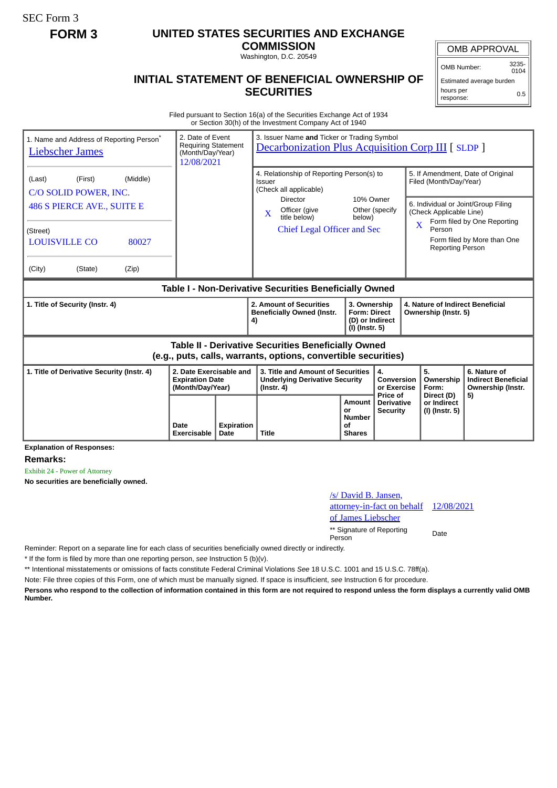SEC Form 3

## **FORM 3 UNITED STATES SECURITIES AND EXCHANGE**

**COMMISSION**

Washington, D.C. 20549

## **INITIAL STATEMENT OF BENEFICIAL OWNERSHIP OF SECURITIES**

OMB APPROVAL OMB Number: 3235-

 $0104$ Estimated average burden hours per response: 0.5

Filed pursuant to Section 16(a) of the Securities Exchange Act of 1934 or Section 30(h) of the Investment Company Act of 1940

| 1. Name and Address of Reporting Person <sup>®</sup><br><b>Liebscher James</b>                                                                                         | 2. Date of Event<br><b>Requiring Statement</b><br>(Month/Day/Year)<br>12/08/2021 |                           | 3. Issuer Name and Ticker or Trading Symbol<br><b>Decarbonization Plus Acquisition Corp III [ SLDP ]</b>                                                                                |                                                                                                |                                                                          |                                             |                                                                                                                                                                                                                                                             |                                                                 |
|------------------------------------------------------------------------------------------------------------------------------------------------------------------------|----------------------------------------------------------------------------------|---------------------------|-----------------------------------------------------------------------------------------------------------------------------------------------------------------------------------------|------------------------------------------------------------------------------------------------|--------------------------------------------------------------------------|---------------------------------------------|-------------------------------------------------------------------------------------------------------------------------------------------------------------------------------------------------------------------------------------------------------------|-----------------------------------------------------------------|
| (Middle)<br>(First)<br>(Last)<br>C/O SOLID POWER, INC.<br><b>486 S PIERCE AVE., SUITE E</b><br>(Street)<br><b>LOUISVILLE CO</b><br>80027<br>(City)<br>(State)<br>(Zip) |                                                                                  |                           | 4. Relationship of Reporting Person(s) to<br><b>Issuer</b><br>(Check all applicable)<br>Director<br>Officer (give<br>$\mathbf{x}$<br>title below)<br><b>Chief Legal Officer and Sec</b> |                                                                                                | 10% Owner<br>below)                                                      | Other (specify                              | 5. If Amendment, Date of Original<br>Filed (Month/Day/Year)<br>6. Individual or Joint/Group Filing<br>(Check Applicable Line)<br>Form filed by One Reporting<br>$\overline{\mathbf{X}}$<br>Person<br>Form filed by More than One<br><b>Reporting Person</b> |                                                                 |
| Table I - Non-Derivative Securities Beneficially Owned                                                                                                                 |                                                                                  |                           |                                                                                                                                                                                         |                                                                                                |                                                                          |                                             |                                                                                                                                                                                                                                                             |                                                                 |
| 1. Title of Security (Instr. 4)                                                                                                                                        |                                                                                  |                           | 4)                                                                                                                                                                                      | 2. Amount of Securities<br><b>Beneficially Owned (Instr.</b>                                   | 3. Ownership<br><b>Form: Direct</b><br>(D) or Indirect<br>(I) (Instr. 5) |                                             | 4. Nature of Indirect Beneficial<br>Ownership (Instr. 5)                                                                                                                                                                                                    |                                                                 |
| Table II - Derivative Securities Beneficially Owned<br>(e.g., puts, calls, warrants, options, convertible securities)                                                  |                                                                                  |                           |                                                                                                                                                                                         |                                                                                                |                                                                          |                                             |                                                                                                                                                                                                                                                             |                                                                 |
| 1. Title of Derivative Security (Instr. 4)<br><b>Expiration Date</b><br>(Month/Day/Year)                                                                               |                                                                                  | 2. Date Exercisable and   |                                                                                                                                                                                         | 3. Title and Amount of Securities<br><b>Underlying Derivative Security</b><br>$($ lnstr. 4 $)$ |                                                                          | 4.<br>Conversion<br>or Exercise<br>Price of | 5.<br>Ownership<br>Form:<br>Direct (D)                                                                                                                                                                                                                      | 6. Nature of<br><b>Indirect Beneficial</b><br>Ownership (Instr. |
|                                                                                                                                                                        | Date<br>Exercisable                                                              | <b>Expiration</b><br>Date | <b>Title</b>                                                                                                                                                                            |                                                                                                | <b>Amount</b><br>or<br><b>Number</b><br>οf<br><b>Shares</b>              | <b>Derivative</b><br><b>Security</b>        | or Indirect<br>(I) (Instr. 5)                                                                                                                                                                                                                               | 5)                                                              |

**Explanation of Responses:**

**Remarks:**

Exhibit 24 - Power of Attorney

**No securities are beneficially owned.**

## /s/ David B. Jansen, attorney-in-fact on behalf of James Liebscher 12/08/2021 \*\* Signature of Reporting Person Date

Reminder: Report on a separate line for each class of securities beneficially owned directly or indirectly.

\* If the form is filed by more than one reporting person, *see* Instruction 5 (b)(v).

\*\* Intentional misstatements or omissions of facts constitute Federal Criminal Violations *See* 18 U.S.C. 1001 and 15 U.S.C. 78ff(a).

Note: File three copies of this Form, one of which must be manually signed. If space is insufficient, *see* Instruction 6 for procedure.

**Persons who respond to the collection of information contained in this form are not required to respond unless the form displays a currently valid OMB Number.**